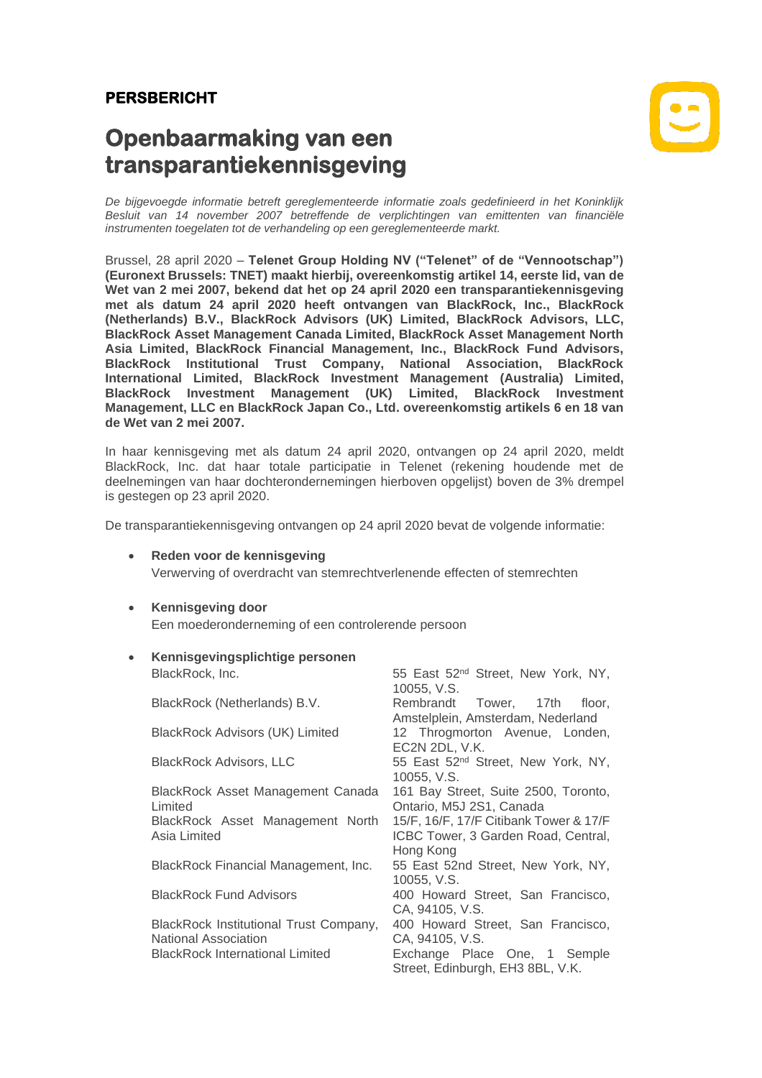## **PERSBERICHT**

# **Openbaarmaking van een transparantiekennisgeving**



*De bijgevoegde informatie betreft gereglementeerde informatie zoals gedefinieerd in het Koninklijk Besluit van 14 november 2007 betreffende de verplichtingen van emittenten van financiële instrumenten toegelaten tot de verhandeling op een gereglementeerde markt.*

Brussel, 28 april 2020 – **Telenet Group Holding NV ("Telenet" of de "Vennootschap") (Euronext Brussels: TNET) maakt hierbij, overeenkomstig artikel 14, eerste lid, van de Wet van 2 mei 2007, bekend dat het op 24 april 2020 een transparantiekennisgeving met als datum 24 april 2020 heeft ontvangen van BlackRock, Inc., BlackRock (Netherlands) B.V., BlackRock Advisors (UK) Limited, BlackRock Advisors, LLC, BlackRock Asset Management Canada Limited, BlackRock Asset Management North Asia Limited, BlackRock Financial Management, Inc., BlackRock Fund Advisors, BlackRock Institutional Trust Company, National Association, BlackRock International Limited, BlackRock Investment Management (Australia) Limited, BlackRock Investment Management (UK) Limited, BlackRock Investment Management, LLC en BlackRock Japan Co., Ltd. overeenkomstig artikels 6 en 18 van de Wet van 2 mei 2007.**

In haar kennisgeving met als datum 24 april 2020, ontvangen op 24 april 2020, meldt BlackRock, Inc. dat haar totale participatie in Telenet (rekening houdende met de deelnemingen van haar dochterondernemingen hierboven opgelijst) boven de 3% drempel is gestegen op 23 april 2020.

De transparantiekennisgeving ontvangen op 24 april 2020 bevat de volgende informatie:

- **Reden voor de kennisgeving** Verwerving of overdracht van stemrechtverlenende effecten of stemrechten
- **Kennisgeving door** Een moederonderneming of een controlerende persoon
	- **Kennisgevingsplichtige personen** BlackRock, Inc. 65 East 52<sup>nd</sup> Street, New York, NY, 10055, V.S. BlackRock (Netherlands) B.V. Rembrandt Tower, 17th floor, Amstelplein, Amsterdam, Nederland BlackRock Advisors (UK) Limited 12 Throgmorton Avenue, Londen, EC2N 2DL, V.K. BlackRock Advisors, LLC 55 East 52<sup>nd</sup> Street, New York, NY, 10055, V.S. BlackRock Asset Management Canada 161 Bay Street, Suite 2500, Toronto, Limited Ontario, M5J 2S1, Canada BlackRock Asset Management North Asia Limited 15/F, 16/F, 17/F Citibank Tower & 17/F ICBC Tower, 3 Garden Road, Central, Hong Kong BlackRock Financial Management, Inc. 55 East 52nd Street, New York, NY, 10055, V.S. BlackRock Fund Advisors 400 Howard Street, San Francisco, CA, 94105, V.S. BlackRock Institutional Trust Company, National Association<br>BlackRock International Limited 400 Howard Street, San Francisco, CA, 94105, V.S. Exchange Place One, 1 Semple Street, Edinburgh, EH3 8BL, V.K.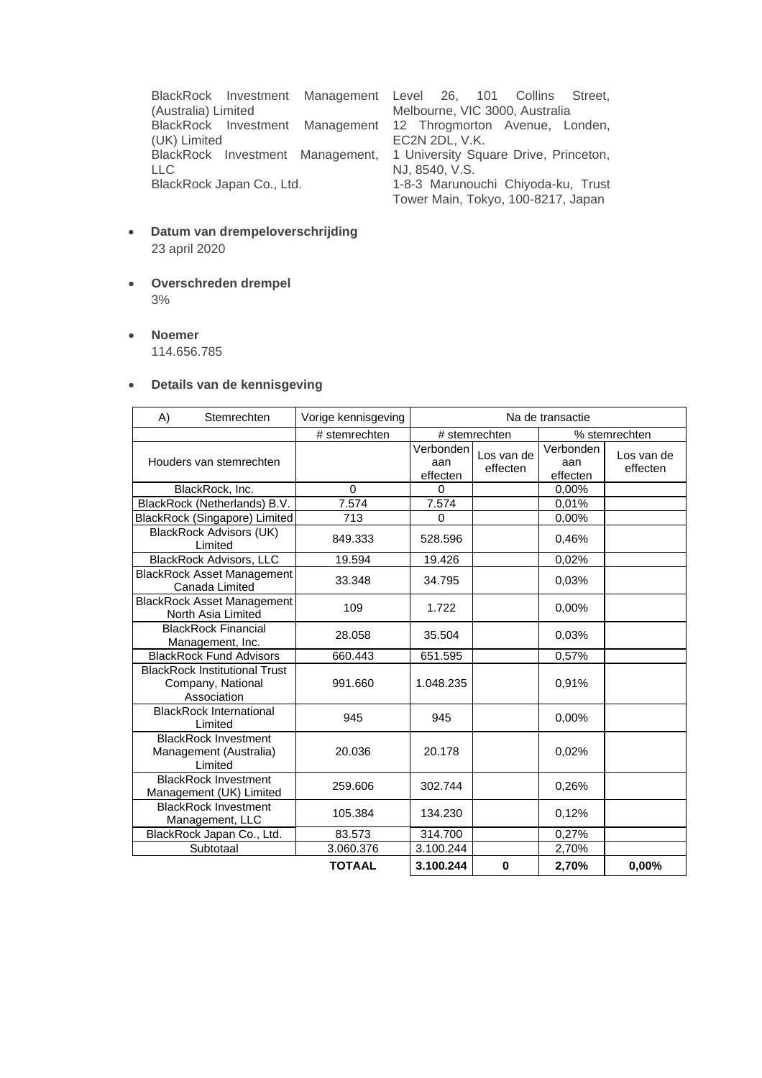BlackRock Investment Management (Australia) Limited BlackRock Investment (UK) Limited BlackRock Investment Management, LLC<br>BlackRock Japan Co., Ltd.

Level 26, 101 Collins Street, Melbourne, VIC 3000, Australia Management 12 Throgmorton Avenue, Londen, EC2N 2DL, V.K. 1 University Square Drive, Princeton, NJ, 8540, V.S. 1-8-3 Marunouchi Chiyoda-ku, Trust Tower Main, Tokyo, 100-8217, Japan

- **Datum van drempeloverschrijding** 23 april 2020
- **Overschreden drempel** 3%
- **Noemer**

114.656.785

#### • **Details van de kennisgeving**

| A) | Stemrechten                                                              | Vorige kennisgeving | Na de transactie               |                        |                              |                        |
|----|--------------------------------------------------------------------------|---------------------|--------------------------------|------------------------|------------------------------|------------------------|
|    |                                                                          | # stemrechten       | # stemrechten<br>% stemrechten |                        |                              |                        |
|    | Houders van stemrechten                                                  |                     | Verbonden<br>aan<br>effecten   | Los van de<br>effecten | Verbonden<br>aan<br>effecten | Los van de<br>effecten |
|    | BlackRock, Inc.                                                          | $\Omega$            | $\Omega$                       |                        | 0,00%                        |                        |
|    | BlackRock (Netherlands) B.V.                                             | 7.574               | 7.574                          |                        | 0,01%                        |                        |
|    | BlackRock (Singapore) Limited                                            | 713                 | $\Omega$                       |                        | 0,00%                        |                        |
|    | <b>BlackRock Advisors (UK)</b><br>Limited                                | 849.333             | 528.596                        |                        | 0,46%                        |                        |
|    | <b>BlackRock Advisors, LLC</b>                                           | 19.594              | 19.426                         |                        | 0,02%                        |                        |
|    | <b>BlackRock Asset Management</b><br>Canada Limited                      | 33.348              | 34.795                         |                        | 0.03%                        |                        |
|    | <b>BlackRock Asset Management</b><br>North Asia Limited                  | 109                 | 1.722                          |                        | 0.00%                        |                        |
|    | <b>BlackRock Financial</b><br>Management, Inc.                           | 28.058              | 35.504                         |                        | 0.03%                        |                        |
|    | <b>BlackRock Fund Advisors</b>                                           | 660.443             | 651.595                        |                        | 0,57%                        |                        |
|    | <b>BlackRock Institutional Trust</b><br>Company, National<br>Association | 991.660             | 1.048.235                      |                        | 0,91%                        |                        |
|    | <b>BlackRock International</b><br>Limited                                | 945                 | 945                            |                        | 0.00%                        |                        |
|    | <b>BlackRock Investment</b><br>Management (Australia)<br>Limited         | 20.036              | 20.178                         |                        | 0,02%                        |                        |
|    | <b>BlackRock Investment</b><br>Management (UK) Limited                   | 259,606             | 302.744                        |                        | 0.26%                        |                        |
|    | <b>BlackRock Investment</b><br>Management, LLC                           | 105.384             | 134.230                        |                        | 0,12%                        |                        |
|    | BlackRock Japan Co., Ltd.                                                | 83.573              | 314.700                        |                        | 0,27%                        |                        |
|    | Subtotaal                                                                | 3.060.376           | 3.100.244                      |                        | 2,70%                        |                        |
|    |                                                                          | <b>TOTAAL</b>       | 3.100.244                      | $\bf{0}$               | 2,70%                        | 0,00%                  |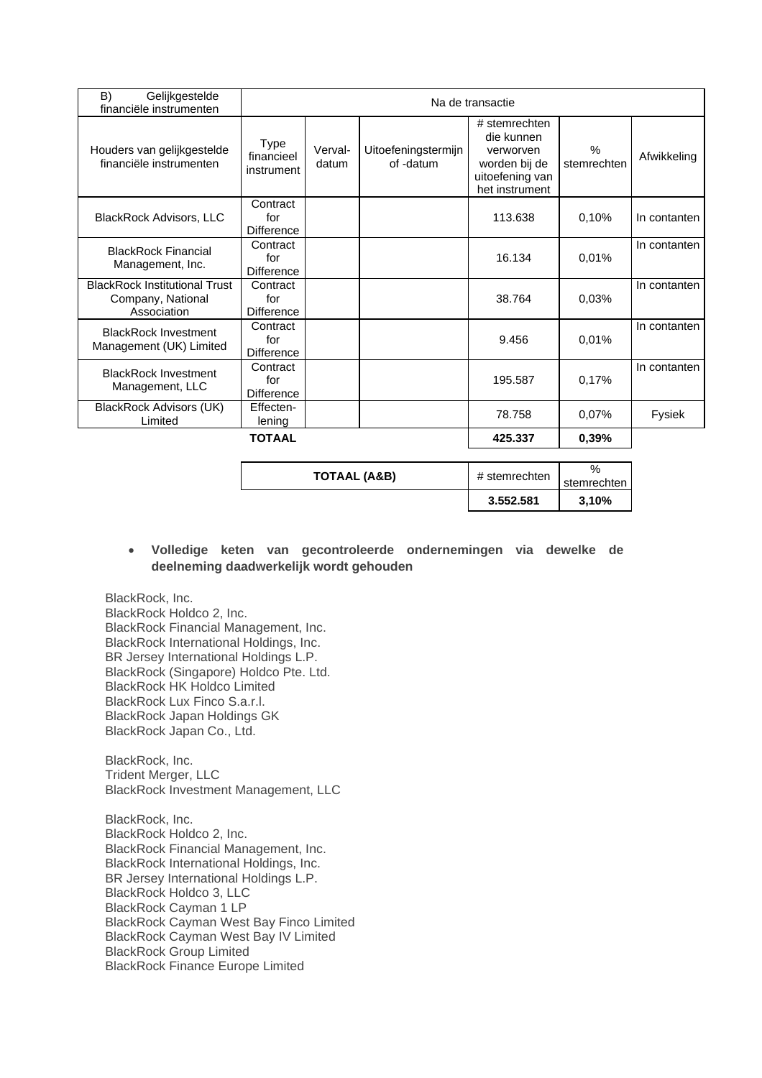| B)<br>Gelijkgestelde<br>financiële instrumenten                          | Na de transactie                     |                  |                                  |                                                                                                |                     |              |  |
|--------------------------------------------------------------------------|--------------------------------------|------------------|----------------------------------|------------------------------------------------------------------------------------------------|---------------------|--------------|--|
| Houders van gelijkgestelde<br>financiële instrumenten                    | Type<br>financieel<br>instrument     | Verval-<br>datum | Uitoefeningstermijn<br>of -datum | # stemrechten<br>die kunnen<br>verworven<br>worden bij de<br>uitoefening van<br>het instrument | $\%$<br>stemrechten | Afwikkeling  |  |
| <b>BlackRock Advisors, LLC</b>                                           | Contract<br>for<br><b>Difference</b> |                  |                                  | 113.638                                                                                        | 0,10%               | In contanten |  |
| <b>BlackRock Financial</b><br>Management, Inc.                           | Contract<br>for<br><b>Difference</b> |                  |                                  | 16.134                                                                                         | 0.01%               | In contanten |  |
| <b>BlackRock Institutional Trust</b><br>Company, National<br>Association | Contract<br>for<br>Difference        |                  |                                  | 38.764                                                                                         | 0.03%               | In contanten |  |
| <b>BlackRock Investment</b><br>Management (UK) Limited                   | Contract<br>for<br><b>Difference</b> |                  |                                  | 9.456                                                                                          | 0.01%               | In contanten |  |
| <b>BlackRock Investment</b><br>Management, LLC                           | Contract<br>for<br><b>Difference</b> |                  |                                  | 195.587                                                                                        | 0,17%               | In contanten |  |
| <b>BlackRock Advisors (UK)</b><br>Limited                                | Effecten-<br>lening                  |                  |                                  | 78.758                                                                                         | 0.07%               | Fysiek       |  |
|                                                                          | <b>TOTAAL</b>                        |                  |                                  | 425.337                                                                                        | 0,39%               |              |  |

|              | 3.552.581     | 3,10%       |
|--------------|---------------|-------------|
|              |               | stemrechten |
| TOTAAL (A&B) | # stemrechten | %           |

### • **Volledige keten van gecontroleerde ondernemingen via dewelke de deelneming daadwerkelijk wordt gehouden**

BlackRock, Inc. BlackRock Holdco 2, Inc. BlackRock Financial Management, Inc. BlackRock International Holdings, Inc. BR Jersey International Holdings L.P. BlackRock (Singapore) Holdco Pte. Ltd. BlackRock HK Holdco Limited BlackRock Lux Finco S.a.r.l. BlackRock Japan Holdings GK BlackRock Japan Co., Ltd.

BlackRock, Inc. Trident Merger, LLC BlackRock Investment Management, LLC

BlackRock, Inc. BlackRock Holdco 2, Inc. BlackRock Financial Management, Inc. BlackRock International Holdings, Inc. BR Jersey International Holdings L.P. BlackRock Holdco 3, LLC BlackRock Cayman 1 LP BlackRock Cayman West Bay Finco Limited BlackRock Cayman West Bay IV Limited BlackRock Group Limited BlackRock Finance Europe Limited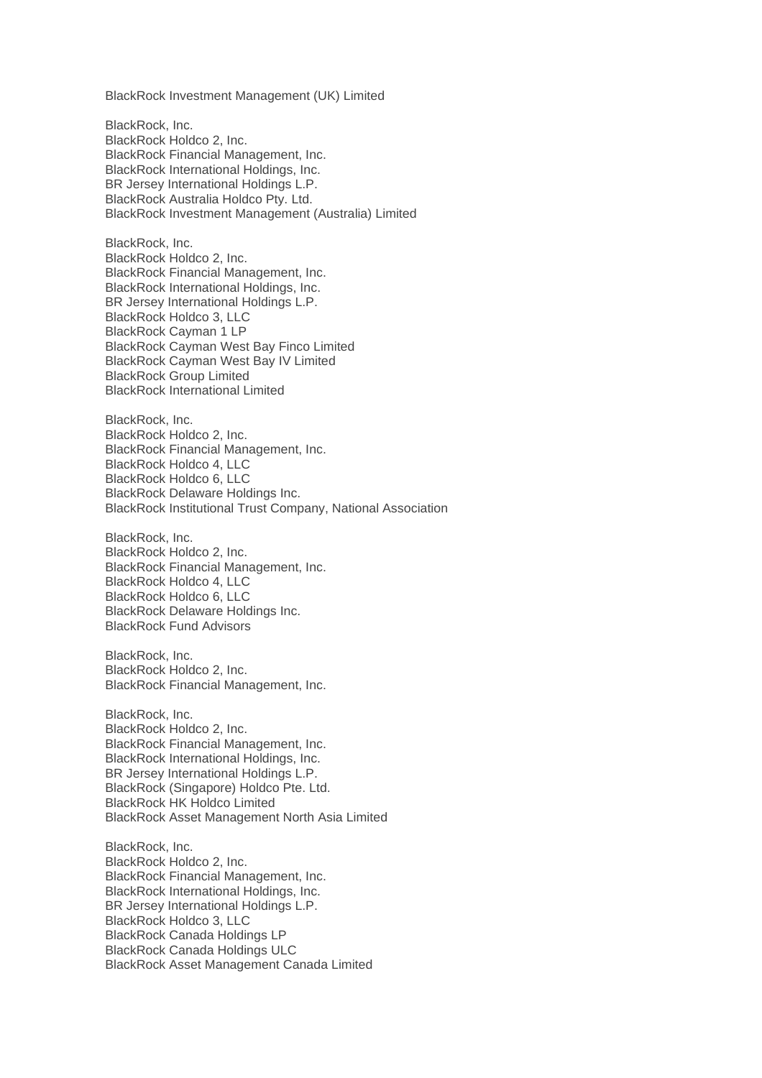BlackRock Investment Management (UK) Limited

BlackRock, Inc. BlackRock Holdco 2, Inc. BlackRock Financial Management, Inc. BlackRock International Holdings, Inc. BR Jersey International Holdings L.P. BlackRock Australia Holdco Pty. Ltd. BlackRock Investment Management (Australia) Limited

BlackRock, Inc. BlackRock Holdco 2, Inc. BlackRock Financial Management, Inc. BlackRock International Holdings, Inc. BR Jersey International Holdings L.P. BlackRock Holdco 3, LLC BlackRock Cayman 1 LP BlackRock Cayman West Bay Finco Limited BlackRock Cayman West Bay IV Limited BlackRock Group Limited BlackRock International Limited

BlackRock, Inc. BlackRock Holdco 2, Inc. BlackRock Financial Management, Inc. BlackRock Holdco 4, LLC BlackRock Holdco 6, LLC BlackRock Delaware Holdings Inc. BlackRock Institutional Trust Company, National Association

BlackRock, Inc. BlackRock Holdco 2, Inc. BlackRock Financial Management, Inc. BlackRock Holdco 4, LLC BlackRock Holdco 6, LLC BlackRock Delaware Holdings Inc. BlackRock Fund Advisors

BlackRock, Inc. BlackRock Holdco 2, Inc. BlackRock Financial Management, Inc.

BlackRock, Inc. BlackRock Holdco 2, Inc. BlackRock Financial Management, Inc. BlackRock International Holdings, Inc. BR Jersey International Holdings L.P. BlackRock (Singapore) Holdco Pte. Ltd. BlackRock HK Holdco Limited BlackRock Asset Management North Asia Limited

BlackRock, Inc. BlackRock Holdco 2, Inc. BlackRock Financial Management, Inc. BlackRock International Holdings, Inc. BR Jersey International Holdings L.P. BlackRock Holdco 3, LLC BlackRock Canada Holdings LP BlackRock Canada Holdings ULC BlackRock Asset Management Canada Limited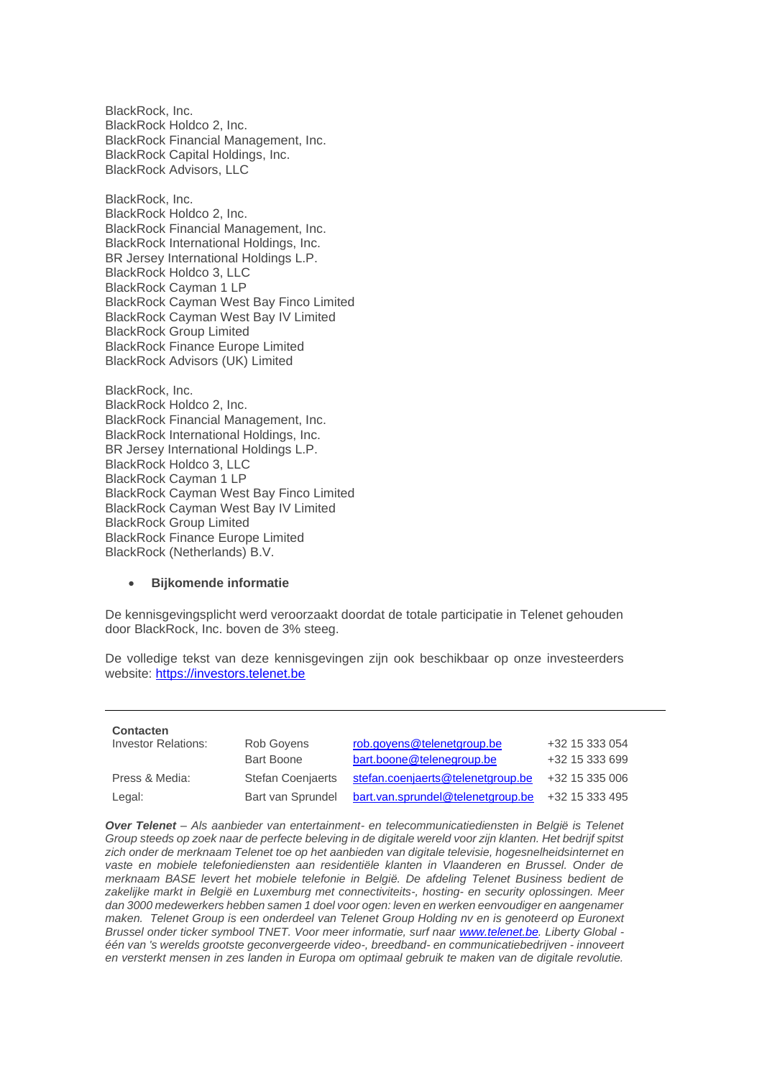BlackRock, Inc. BlackRock Holdco 2, Inc. BlackRock Financial Management, Inc. BlackRock Capital Holdings, Inc. BlackRock Advisors, LLC

BlackRock, Inc. BlackRock Holdco 2, Inc. BlackRock Financial Management, Inc. BlackRock International Holdings, Inc. BR Jersey International Holdings L.P. BlackRock Holdco 3, LLC BlackRock Cayman 1 LP BlackRock Cayman West Bay Finco Limited BlackRock Cayman West Bay IV Limited BlackRock Group Limited BlackRock Finance Europe Limited BlackRock Advisors (UK) Limited

BlackRock, Inc. BlackRock Holdco 2, Inc. BlackRock Financial Management, Inc. BlackRock International Holdings, Inc. BR Jersey International Holdings L.P. BlackRock Holdco 3, LLC BlackRock Cayman 1 LP BlackRock Cayman West Bay Finco Limited BlackRock Cayman West Bay IV Limited BlackRock Group Limited BlackRock Finance Europe Limited BlackRock (Netherlands) B.V.

#### • **Bijkomende informatie**

De kennisgevingsplicht werd veroorzaakt doordat de totale participatie in Telenet gehouden door BlackRock, Inc. boven de 3% steeg.

De volledige tekst van deze kennisgevingen zijn ook beschikbaar op onze investeerders website: [https://investors.telenet.be](http://investors.telenet.be/)

| <b>Contacten</b>           |                          |                                   |                |
|----------------------------|--------------------------|-----------------------------------|----------------|
| <b>Investor Relations:</b> | Rob Govens               | rob.goyens@telenetgroup.be        | +32 15 333 054 |
|                            | <b>Bart Boone</b>        | bart.boone@telenegroup.be         | +32 15 333 699 |
| Press & Media:             | <b>Stefan Coenjaerts</b> | stefan.coenjaerts@telenetgroup.be | +32 15 335 006 |
| Legal:                     | Bart van Sprundel        | bart.van.sprundel@telenetgroup.be | +32 15 333 495 |

*Over Telenet – Als aanbieder van entertainment- en telecommunicatiediensten in België is Telenet Group steeds op zoek naar de perfecte beleving in de digitale wereld voor zijn klanten. Het bedrijf spitst zich onder de merknaam Telenet toe op het aanbieden van digitale televisie, hogesnelheidsinternet en vaste en mobiele telefoniediensten aan residentiële klanten in Vlaanderen en Brussel. Onder de merknaam BASE levert het mobiele telefonie in België. De afdeling Telenet Business bedient de zakelijke markt in België en Luxemburg met connectiviteits-, hosting- en security oplossingen. Meer dan 3000 medewerkers hebben samen 1 doel voor ogen: leven en werken eenvoudiger en aangenamer maken. Telenet Group is een onderdeel van Telenet Group Holding nv en is genoteerd op Euronext Brussel onder ticker symbool TNET. Voor meer informatie, surf naar [www.telenet.be.](http://www.telenet.be/) Liberty Global één van 's werelds grootste geconvergeerde video-, breedband- en communicatiebedrijven - innoveert en versterkt mensen in zes landen in Europa om optimaal gebruik te maken van de digitale revolutie.*